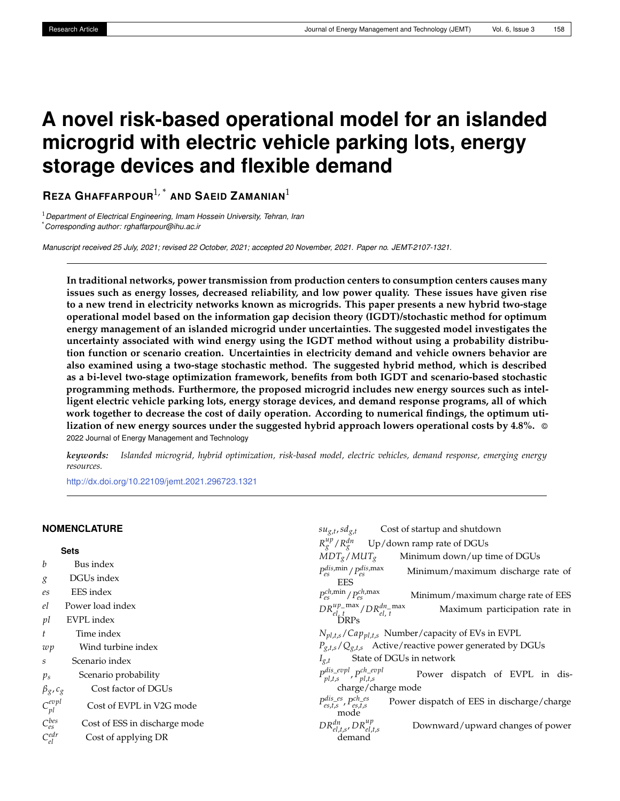# **A novel risk-based operational model for an islanded microgrid with electric vehicle parking lots, energy storage devices and flexible demand**

**REZA GHAFFARPOUR**1, \* **AND SAEID ZAMANIAN**<sup>1</sup>

<sup>1</sup>*Department of Electrical Engineering, Imam Hossein University, Tehran, Iran* \**Corresponding author: rghaffarpour@ihu.ac.ir*

*Manuscript received 25 July, 2021; revised 22 October, 2021; accepted 20 November, 2021. Paper no. JEMT-2107-1321.*

**In traditional networks, power transmission from production centers to consumption centers causes many issues such as energy losses, decreased reliability, and low power quality. These issues have given rise to a new trend in electricity networks known as microgrids. This paper presents a new hybrid two-stage operational model based on the information gap decision theory (IGDT)/stochastic method for optimum energy management of an islanded microgrid under uncertainties. The suggested model investigates the uncertainty associated with wind energy using the IGDT method without using a probability distribution function or scenario creation. Uncertainties in electricity demand and vehicle owners behavior are also examined using a two-stage stochastic method. The suggested hybrid method, which is described as a bi-level two-stage optimization framework, benefits from both IGDT and scenario-based stochastic programming methods. Furthermore, the proposed microgrid includes new energy sources such as intelligent electric vehicle parking lots, energy storage devices, and demand response programs, all of which work together to decrease the cost of daily operation. According to numerical findings, the optimum utilization of new energy sources under the suggested hybrid approach lowers operational costs by 4.8%.** © 2022 Journal of Energy Management and Technology

*keywords: Islanded microgrid, hybrid optimization, risk-based model, electric vehicles, demand response, emerging energy resources.*

 $su_{g,t}$ ,  $sd_{g,t}$ 

Cost of startup and shutdown

<http://dx.doi.org/10.22109/jemt.2021.296723.1321>

## **NOMENCLATURE**

| <b>Sets</b>                                     | $R^{up}_{\varrho}/R^{dn}_{\varrho}$<br>Up/down ramp rate of DGUs                                    |
|-------------------------------------------------|-----------------------------------------------------------------------------------------------------|
| b<br>Bus index                                  | $MDT_g/MUT_g$<br>Minimum down/up time of DGUs                                                       |
| DGUs index<br>g                                 | $P_{es}^{dis,min}/P_{es}^{dis,max}$<br>Minimum/maximum discharge rate of<br>EES                     |
| EES index<br>es                                 | $P_{es}^{ch,min}/P_{es}^{ch,max}$<br>Minimum/maximum charge rate of EES                             |
| Power load index<br>el                          | $DR_{el, t}^{up\_max}/DR_{el, t}^{dn\_max}$<br>Maximum participation rate in                        |
| EVPL index<br>pl                                | <b>DRPs</b>                                                                                         |
| Time index                                      | $N_{pl,t,s}/Cap_{pl,t,s}$ Number/capacity of EVs in EVPL                                            |
| Wind turbine index<br>wp                        | $P_{g,t,s}/Q_{g,t,s}$ Active/reactive power generated by DGUs                                       |
| Scenario index<br>S                             | State of DGUs in network<br>$I_{g,t}$                                                               |
| Scenario probability<br>$p_s$                   | $P_{pl,t,s}^{dis\_evpl}, P_{pl,t,s}^{ch\_evpl}$<br>Power dispatch of EVPL in dis-                   |
| Cost factor of DGUs<br>$\beta_g$ , $c_g$        | charge/charge mode                                                                                  |
| $C_{pl}^{evpl}$<br>Cost of EVPL in V2G mode     | $P_{es,t,s}^{dis\_es}$ , $P_{es,t,s}^{ch\_es}$<br>Power dispatch of EES in discharge/charge<br>mode |
| $C_{es}^{bes}$<br>Cost of ESS in discharge mode | $DR_{el,t,s}^{dn}$ , $DR_{el,t,s}^{up}$<br>Downward/upward changes of power                         |
| $C_{el}^{edr}$<br>Cost of applying DR           | demand                                                                                              |
|                                                 |                                                                                                     |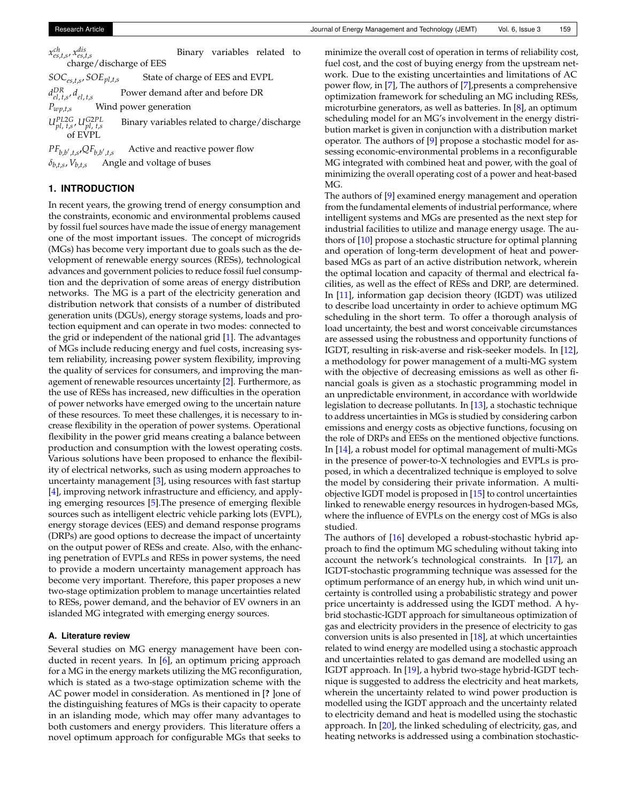*x ch es*,*t*,*s* , *x dis es*,*t*,*s* charge/discharge of EES Binary variables related to

 $SOC_{es,t,s}$ *SOE*<sub>pl,t,s</sub> State of charge of EES and EVPL *d DR el*, *t*,*s* , *del*, *<sup>t</sup>*,*<sup>s</sup>* Power demand after and before DR *Pwp*,*t*,*<sup>s</sup>* Wind power generation *UPL*2*<sup>G</sup> pl*, *t*,*s* , *UG*2*PL pl*, *t*,*s* Binary variables related to charge/discharge of EVPL

 $PF_{b,b',t,s}$ , $QF_{b,b'}$ Active and reactive power flow  $\delta_{b,t,s}$ ,  $V_{b,t,s}$ Angle and voltage of buses

## **1. INTRODUCTION**

In recent years, the growing trend of energy consumption and the constraints, economic and environmental problems caused by fossil fuel sources have made the issue of energy management one of the most important issues. The concept of microgrids (MGs) has become very important due to goals such as the development of renewable energy sources (RESs), technological advances and government policies to reduce fossil fuel consumption and the deprivation of some areas of energy distribution networks. The MG is a part of the electricity generation and distribution network that consists of a number of distributed generation units (DGUs), energy storage systems, loads and protection equipment and can operate in two modes: connected to the grid or independent of the national grid [\[1\]](#page-6-0). The advantages of MGs include reducing energy and fuel costs, increasing system reliability, increasing power system flexibility, improving the quality of services for consumers, and improving the management of renewable resources uncertainty [\[2\]](#page-6-1). Furthermore, as the use of RESs has increased, new difficulties in the operation of power networks have emerged owing to the uncertain nature of these resources. To meet these challenges, it is necessary to increase flexibility in the operation of power systems. Operational flexibility in the power grid means creating a balance between production and consumption with the lowest operating costs. Various solutions have been proposed to enhance the flexibility of electrical networks, such as using modern approaches to uncertainty management [\[3\]](#page-6-2), using resources with fast startup [\[4\]](#page-6-3), improving network infrastructure and efficiency, and applying emerging resources [\[5\]](#page-6-4).The presence of emerging flexible sources such as intelligent electric vehicle parking lots (EVPL), energy storage devices (EES) and demand response programs (DRPs) are good options to decrease the impact of uncertainty on the output power of RESs and create. Also, with the enhancing penetration of EVPLs and RESs in power systems, the need to provide a modern uncertainty management approach has become very important. Therefore, this paper proposes a new two-stage optimization problem to manage uncertainties related to RESs, power demand, and the behavior of EV owners in an islanded MG integrated with emerging energy sources.

### **A. Literature review**

Several studies on MG energy management have been conducted in recent years. In [\[6\]](#page-6-5), an optimum pricing approach for a MG in the energy markets utilizing the MG reconfiguration, which is stated as a two-stage optimization scheme with the AC power model in consideration. As mentioned in [**?** ]one of the distinguishing features of MGs is their capacity to operate in an islanding mode, which may offer many advantages to both customers and energy providers. This literature offers a novel optimum approach for configurable MGs that seeks to

minimize the overall cost of operation in terms of reliability cost, fuel cost, and the cost of buying energy from the upstream network. Due to the existing uncertainties and limitations of AC power flow, in [\[7\]](#page-7-0), The authors of [\[7\]](#page-7-0),presents a comprehensive optimization framework for scheduling an MG including RESs, microturbine generators, as well as batteries. In [\[8\]](#page-7-1), an optimum scheduling model for an MG's involvement in the energy distribution market is given in conjunction with a distribution market operator. The authors of [\[9\]](#page-7-2) propose a stochastic model for assessing economic-environmental problems in a reconfigurable MG integrated with combined heat and power, with the goal of minimizing the overall operating cost of a power and heat-based MG.

The authors of [\[9\]](#page-7-2) examined energy management and operation from the fundamental elements of industrial performance, where intelligent systems and MGs are presented as the next step for industrial facilities to utilize and manage energy usage. The authors of [\[10\]](#page-7-3) propose a stochastic structure for optimal planning and operation of long-term development of heat and powerbased MGs as part of an active distribution network, wherein the optimal location and capacity of thermal and electrical facilities, as well as the effect of RESs and DRP, are determined. In [\[11\]](#page-7-4), information gap decision theory (IGDT) was utilized to describe load uncertainty in order to achieve optimum MG scheduling in the short term. To offer a thorough analysis of load uncertainty, the best and worst conceivable circumstances are assessed using the robustness and opportunity functions of IGDT, resulting in risk-averse and risk-seeker models. In [\[12\]](#page-7-5), a methodology for power management of a multi-MG system with the objective of decreasing emissions as well as other financial goals is given as a stochastic programming model in an unpredictable environment, in accordance with worldwide legislation to decrease pollutants. In [\[13\]](#page-7-6), a stochastic technique to address uncertainties in MGs is studied by considering carbon emissions and energy costs as objective functions, focusing on the role of DRPs and EESs on the mentioned objective functions. In [\[14\]](#page-7-7), a robust model for optimal management of multi-MGs in the presence of power-to-X technologies and EVPLs is proposed, in which a decentralized technique is employed to solve the model by considering their private information. A multiobjective IGDT model is proposed in [\[15\]](#page-7-8) to control uncertainties linked to renewable energy resources in hydrogen-based MGs, where the influence of EVPLs on the energy cost of MGs is also studied.

The authors of [\[16\]](#page-7-9) developed a robust-stochastic hybrid approach to find the optimum MG scheduling without taking into account the network's technological constraints. In [\[17\]](#page-7-10), an IGDT-stochastic programming technique was assessed for the optimum performance of an energy hub, in which wind unit uncertainty is controlled using a probabilistic strategy and power price uncertainty is addressed using the IGDT method. A hybrid stochastic-IGDT approach for simultaneous optimization of gas and electricity providers in the presence of electricity to gas conversion units is also presented in [\[18\]](#page-7-11), at which uncertainties related to wind energy are modelled using a stochastic approach and uncertainties related to gas demand are modelled using an IGDT approach. In [\[19\]](#page-7-12), a hybrid two-stage hybrid-IGDT technique is suggested to address the electricity and heat markets, wherein the uncertainty related to wind power production is modelled using the IGDT approach and the uncertainty related to electricity demand and heat is modelled using the stochastic approach. In [\[20\]](#page-7-13), the linked scheduling of electricity, gas, and heating networks is addressed using a combination stochastic-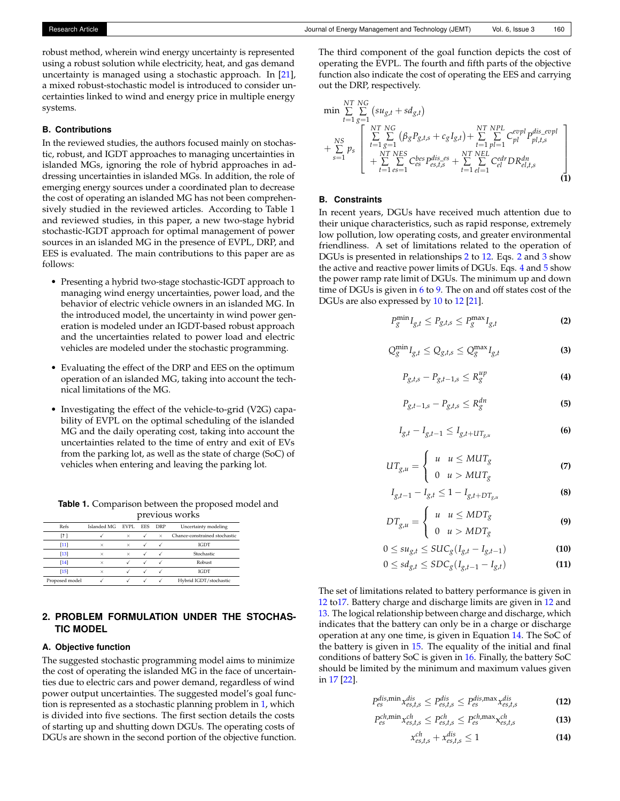robust method, wherein wind energy uncertainty is represented using a robust solution while electricity, heat, and gas demand uncertainty is managed using a stochastic approach. In [\[21\]](#page-7-14), a mixed robust-stochastic model is introduced to consider uncertainties linked to wind and energy price in multiple energy systems.

#### **B. Contributions**

In the reviewed studies, the authors focused mainly on stochastic, robust, and IGDT approaches to managing uncertainties in islanded MGs, ignoring the role of hybrid approaches in addressing uncertainties in islanded MGs. In addition, the role of emerging energy sources under a coordinated plan to decrease the cost of operating an islanded MG has not been comprehensively studied in the reviewed articles. According to Table 1 and reviewed studies, in this paper, a new two-stage hybrid stochastic-IGDT approach for optimal management of power sources in an islanded MG in the presence of EVPL, DRP, and EES is evaluated. The main contributions to this paper are as follows:

- Presenting a hybrid two-stage stochastic-IGDT approach to managing wind energy uncertainties, power load, and the behavior of electric vehicle owners in an islanded MG. In the introduced model, the uncertainty in wind power generation is modeled under an IGDT-based robust approach and the uncertainties related to power load and electric vehicles are modeled under the stochastic programming.
- Evaluating the effect of the DRP and EES on the optimum operation of an islanded MG, taking into account the technical limitations of the MG.
- Investigating the effect of the vehicle-to-grid (V2G) capability of EVPL on the optimal scheduling of the islanded MG and the daily operating cost, taking into account the uncertainties related to the time of entry and exit of EVs from the parking lot, as well as the state of charge (SoC) of vehicles when entering and leaving the parking lot.

| <b>Table 1.</b> Comparison between the proposed model and |                                               |  |
|-----------------------------------------------------------|-----------------------------------------------|--|
|                                                           | <b><i><u>nvorricum</u></i></b> <i>urorleg</i> |  |

|                |                  | previous works |            |            |                               |  |
|----------------|------------------|----------------|------------|------------|-------------------------------|--|
| Refs           | Islanded MG EVPL |                | <b>EES</b> | <b>DRP</b> | Uncertainty modeling          |  |
| [?]            |                  | $\times$       |            | $\times$   | Chance-constrained stochastic |  |
| [11]           | $\times$         | $\times$       |            |            | IGDT                          |  |
| [13]           | $\times$         | $\times$       |            |            | Stochastic                    |  |
| [14]           | $\times$         |                |            |            | Robust                        |  |
| $[15]$         | $\times$         |                |            |            | IGDT                          |  |
| Proposed model |                  |                |            |            | Hybrid IGDT/stochastic        |  |

# **2. PROBLEM FORMULATION UNDER THE STOCHAS-TIC MODEL**

#### **A. Objective function**

The suggested stochastic programming model aims to minimize the cost of operating the islanded MG in the face of uncertainties due to electric cars and power demand, regardless of wind power output uncertainties. The suggested model's goal function is represented as a stochastic planning problem in [1,](#page-2-0) which is divided into five sections. The first section details the costs of starting up and shutting down DGUs. The operating costs of DGUs are shown in the second portion of the objective function. The third component of the goal function depicts the cost of operating the EVPL. The fourth and fifth parts of the objective function also indicate the cost of operating the EES and carrying out the DRP, respectively.

<span id="page-2-0"></span>
$$
\min \sum_{t=1}^{NT} \sum_{g=1}^{NC} (su_{g,t} + sd_{g,t})
$$
\n
$$
+ \sum_{s=1}^{NS} p_s \left[ \sum_{t=1}^{NT} \sum_{g=1}^{NC} (\beta_g P_{g,t,s} + c_g I_{g,t}) + \sum_{t=1}^{NT} \sum_{p=1}^{NPL} C_{pl}^{evpl} P_{pl,t,s}^{dis\_evpl} + \sum_{t=1}^{NT} \sum_{e=1}^{NES} C_{es}^{bes} P_{es,t,s}^{dis\_es} + \sum_{t=1}^{NT} \sum_{e=1}^{NEL} C_{el}^{edr} D R_{el,t,s}^{dn} \right]
$$
\n(1)

#### **B. Constraints**

In recent years, DGUs have received much attention due to their unique characteristics, such as rapid response, extremely low pollution, low operating costs, and greater environmental friendliness. A set of limitations related to the operation of DGUs is presented in relationships [2](#page-2-1) to [12.](#page-2-2) Eqs. [2](#page-2-1) and [3](#page-2-3) show the active and reactive power limits of DGUs. Eqs. [4](#page-2-4) and [5](#page-2-5) show the power ramp rate limit of DGUs. The minimum up and down time of DGUs is given in  $6$  to [9.](#page-2-7) The on and off states cost of the DGUs are also expressed by [10](#page-2-8) to [12](#page-2-2) [\[21\]](#page-7-14).

<span id="page-2-1"></span>
$$
P_g^{\min} I_{g,t} \le P_{g,t,s} \le P_g^{\max} I_{g,t}
$$
 (2)

<span id="page-2-3"></span>
$$
Q_g^{\min} I_{g,t} \le Q_{g,t,s} \le Q_g^{\max} I_{g,t}
$$
 (3)

<span id="page-2-4"></span>
$$
P_{g,t,s} - P_{g,t-1,s} \le R_g^{up} \tag{4}
$$

<span id="page-2-5"></span>
$$
P_{g,t-1,s} - P_{g,t,s} \le R_g^{dn} \tag{5}
$$

<span id="page-2-6"></span>
$$
I_{g,t} - I_{g,t-1} \leq I_{g,t+UT_{g,u}}
$$
 (6)

$$
UT_{g,u} = \begin{cases} u & u \leq MUT_g \\ 0 & u > MUT_g \end{cases}
$$
 (7)

$$
I_{g,t-1} - I_{g,t} \le 1 - I_{g,t+DT_{g,u}}
$$
 (8)

<span id="page-2-7"></span>
$$
DT_{g,u} = \begin{cases} u & u \leq MDT_g \\ 0 & u > MDT_g \end{cases}
$$
 (9)

<span id="page-2-8"></span>
$$
0 \le s u_{g,t} \le SUC_g(I_{g,t} - I_{g,t-1})
$$
\n(10)

$$
0 \le sd_{g,t} \le SDC_g(I_{g,t-1} - I_{g,t})
$$
\n(11)

The set of limitations related to battery performance is given in [12](#page-2-2) t[o17.](#page-3-0) Battery charge and discharge limits are given in [12](#page-2-2) and [13.](#page-2-9) The logical relationship between charge and discharge, which indicates that the battery can only be in a charge or discharge operation at any one time, is given in Equation [14.](#page-2-10) The SoC of the battery is given in [15.](#page-3-1) The equality of the initial and final conditions of battery SoC is given in [16.](#page-3-2) Finally, the battery SoC should be limited by the minimum and maximum values given in [17](#page-3-0) [\[22\]](#page-7-15).

<span id="page-2-2"></span>
$$
P_{es}^{dis, \min} x_{es,t,s}^{dis} \le P_{es,t,s}^{dis} \le P_{es}^{dis, \max} x_{es,t,s}^{dis}
$$
 (12)

<span id="page-2-9"></span>
$$
P_{es}^{ch,\min} x_{es,t,s}^{ch} \leq P_{es,t,s}^{ch} \leq P_{es}^{ch,\max} x_{es,t,s}^{ch}
$$
 (13)

<span id="page-2-10"></span>
$$
x_{es,t,s}^{ch} + x_{es,t,s}^{dis} \le 1 \tag{14}
$$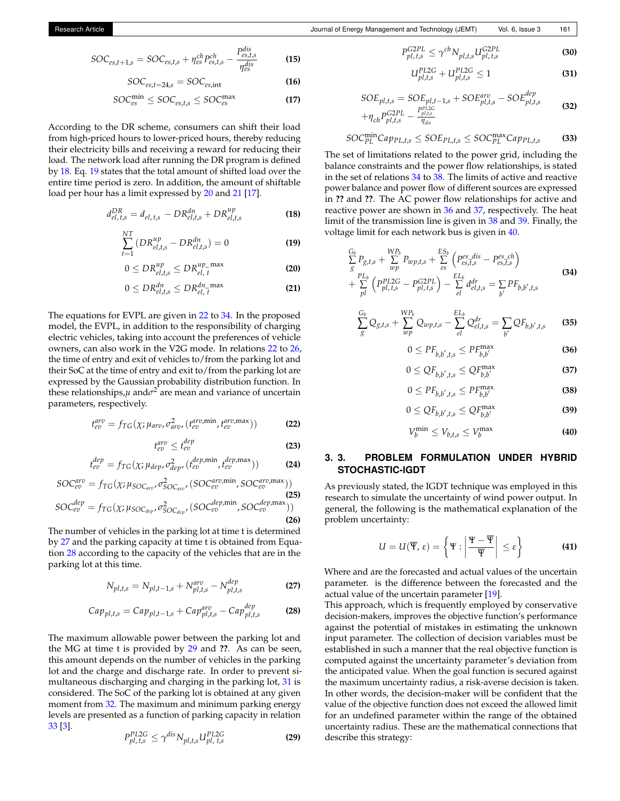<span id="page-3-1"></span>
$$
SOC_{es,t+1,s} = SOC_{es,t,s} + \eta_{es}^{ch} P_{es,t,s}^{ch} - \frac{P_{es,t,s}^{dis}}{\eta_{es}^{dis}}
$$
(15)

<span id="page-3-2"></span>
$$
SOC_{es,t=24,s} = SOC_{es,int}
$$
 (16)

<span id="page-3-0"></span>
$$
SOC_{es}^{\min} \leq SOC_{es,t,s} \leq SOC_{es}^{\max}
$$
 (17)

According to the DR scheme, consumers can shift their load from high-priced hours to lower-priced hours, thereby reducing their electricity bills and receiving a reward for reducing their load. The network load after running the DR program is defined by [18.](#page-3-3) Eq. [19](#page-3-4) states that the total amount of shifted load over the entire time period is zero. In addition, the amount of shiftable load per hour has a limit expressed by [20](#page-3-5) and [21](#page-3-6) [\[17\]](#page-7-10).

<span id="page-3-3"></span>
$$
d_{el, t,s}^{DR} = d_{el, t,s} - DR_{el, t,s}^{dn} + DR_{el, t,s}^{up}
$$
 (18)

<span id="page-3-4"></span>
$$
\sum_{t=1}^{NT} (DR_{el,t,s}^{up} - DR_{el,t,s}^{dn}) = 0
$$
 (19)

<span id="page-3-5"></span>
$$
0 \leq DR_{el,t,s}^{up} \leq DR_{el,t}^{up\_max}
$$
 (20)

<span id="page-3-6"></span>
$$
0 \le DR_{el,t,s}^{dn} \le DR_{el,t}^{dn\text{-}\max}
$$
 (21)

The equations for EVPL are given in [22](#page-3-7) to [34.](#page-3-8) In the proposed model, the EVPL, in addition to the responsibility of charging electric vehicles, taking into account the preferences of vehicle owners, can also work in the V2G mode. In relations [22](#page-3-7) to [26,](#page-3-9) the time of entry and exit of vehicles to/from the parking lot and their SoC at the time of entry and exit to/from the parking lot are expressed by the Gaussian probability distribution function. In these relationships,*µ* and*σ* <sup>2</sup> are mean and variance of uncertain parameters, respectively.

<span id="page-3-7"></span>
$$
t_{ev}^{arv} = f_{TG}(\chi; \mu_{arv}, \sigma_{arv}^2, (t_{ev}^{arv, \min}, t_{ev}^{arv, \max}))
$$
 (22)

$$
t_{ev}^{arv} \leq t_{ev}^{dep} \tag{23}
$$

$$
t_{ev}^{dep} = f_{TG}(\chi; \mu_{dep}, \sigma_{dep}^2, (t_{ev}^{dep,min}, t_{ev}^{dep,max}))
$$
 (24)

<span id="page-3-9"></span>
$$
SOC_{ev}^{arv} = f_{TG}(\chi; \mu_{SOC_{arv}}, \sigma_{SOC_{ev}}^2, (SOC_{ev}^{arv,min}, SO_{ev}^{carv,max}))
$$
\n
$$
SOC_{ev}^{dep} = f_{TG}(\chi; \mu_{SOC_{dep}}, \sigma_{SOC_{dep}}^2, (SOC_{ev}^{dep,min}, SOC_{ev}^{dep,max}))
$$
\n(25)

The number of vehicles in the parking lot at time t is determined by [27](#page-3-10) and the parking capacity at time t is obtained from Equation [28](#page-3-11) according to the capacity of the vehicles that are in the parking lot at this time.

<span id="page-3-10"></span>
$$
N_{pl,t,s} = N_{pl,t-1,s} + N_{pl,t,s}^{aro} - N_{pl,t,s}^{dep}
$$
 (27)

<span id="page-3-11"></span>
$$
Cap_{pl,t,s} = Cap_{pl,t-1,s} + Cap_{pl,t,s}^{arv} - Cap_{pl,t,s}^{dep}
$$
 (28)

The maximum allowable power between the parking lot and the MG at time t is provided by [29](#page-3-12) and **??**. As can be seen, this amount depends on the number of vehicles in the parking lot and the charge and discharge rate. In order to prevent simultaneous discharging and charging in the parking lot, [31](#page-3-13) is considered. The SoC of the parking lot is obtained at any given moment from [32.](#page-3-14) The maximum and minimum parking energy levels are presented as a function of parking capacity in relation [33](#page-3-15) [\[3\]](#page-6-2).

<span id="page-3-12"></span>
$$
P_{pl,\,t,s}^{PL2G} \le \gamma^{dis} N_{pl,t,s} U_{pl,\,t,s}^{PL2G}
$$
 (29)

$$
P_{pl,t,s}^{G2PL} \le \gamma^{ch} N_{pl,t,s} U_{pl,t,s}^{G2PL} \tag{30}
$$

<span id="page-3-13"></span>
$$
U_{pl,t,s}^{PL2G} + U_{pl,t,s}^{PL2G} \le 1
$$
\n(31)

<span id="page-3-14"></span>
$$
SOE_{pl,t,s} = SOE_{pl,t-1,s} + SOE_{pl,t,s}^{aro} - SOE_{pl,t,s}^{dep}
$$
  
+
$$
\eta_{ch} P_{pl,t,s}^{G2PL} - \frac{P_{pl,t,s}^{PLG}}{\eta_{dis}}
$$
(32)

<span id="page-3-15"></span>
$$
SOC_{PL}^{\min} Cap_{PL,t,s} \leq SOE_{PL,t,s} \leq SOC_{PL}^{\max} Cap_{PL,t,s}
$$
 (33)

The set of limitations related to the power grid, including the balance constraints and the power flow relationships, is stated in the set of relations [34](#page-3-8) to [38.](#page-3-16) The limits of active and reactive power balance and power flow of different sources are expressed in **??** and **??**. The AC power flow relationships for active and reactive power are shown in [36](#page-3-17) and [37,](#page-3-18) respectively. The heat limit of the transmission line is given in [38](#page-3-16) and [39.](#page-3-19) Finally, the voltage limit for each network bus is given in [40.](#page-3-20)

<span id="page-3-8"></span>
$$
\frac{G_b}{g} P_{g,t,s} + \sum_{wp}^{WP_b} P_{wp,t,s} + \sum_{es}^{ES_b} \left( P_{es,t,s}^{es\_dis} - P_{es,t,s}^{es\_ch} \right) \n+ \sum_{pl}^{PL_b} \left( P_{pl,t,s}^{PL2G} - P_{pl,t,s}^{G2PL} \right) - \sum_{el}^{EL_b} d_{el,t,s}^{dr} = \sum_{b'} P F_{b,b',t,s}
$$
\n(34)

$$
\frac{G_b}{g} Q_{g,t,s} + \sum_{wp}^{WP_b} Q_{wp,t,s} - \sum_{el}^{EL_b} Q_{el,t,s}^{dr} = \sum_{b'} Q F_{b,b',t,s}
$$
 (35)

<span id="page-3-17"></span>
$$
0 \leq PF_{b,b',t,s} \leq PF_{b,b'}^{\max} \tag{36}
$$

<span id="page-3-18"></span>
$$
0 \le QF_{b,b',t,s} \le QF_{b,b'}^{\text{max}} \tag{37}
$$

<span id="page-3-16"></span>
$$
0 \leq PF_{b,b',t,s} \leq PF_{b,b'}^{\max} \tag{38}
$$

<span id="page-3-19"></span>
$$
0 \leq QF_{b,b',t,s} \leq QF_{b,b'}^{\max} \tag{39}
$$

<span id="page-3-20"></span>
$$
V_b^{\min} \le V_{b,t,s} \le V_b^{\max} \tag{40}
$$

## **3. 3. PROBLEM FORMULATION UNDER HYBRID STOCHASTIC-IGDT**

As previously stated, the IGDT technique was employed in this research to simulate the uncertainty of wind power output. In general, the following is the mathematical explanation of the problem uncertainty:

$$
U = U(\overline{\Psi}, \varepsilon) = \left\{ \Psi : \left| \frac{\Psi - \overline{\Psi}}{\overline{\Psi}} \right| \le \varepsilon \right\}
$$
 (41)

Where and are the forecasted and actual values of the uncertain parameter. is the difference between the forecasted and the actual value of the uncertain parameter [\[19\]](#page-7-12).

This approach, which is frequently employed by conservative decision-makers, improves the objective function's performance against the potential of mistakes in estimating the unknown input parameter. The collection of decision variables must be established in such a manner that the real objective function is computed against the uncertainty parameter's deviation from the anticipated value. When the goal function is secured against the maximum uncertainty radius, a risk-averse decision is taken. In other words, the decision-maker will be confident that the value of the objective function does not exceed the allowed limit for an undefined parameter within the range of the obtained uncertainty radius. These are the mathematical connections that describe this strategy: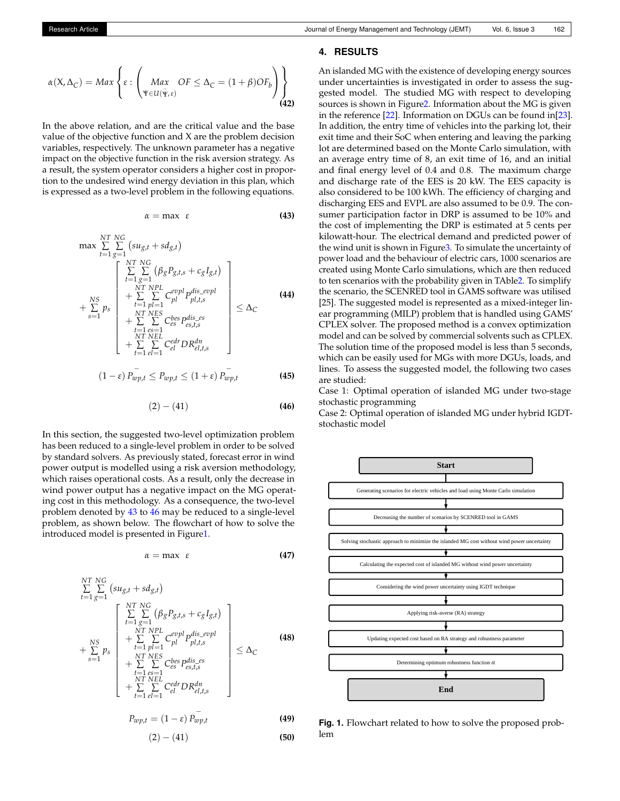$$
\alpha(X, \Delta_C) = Max \left\{ \varepsilon : \left( \underset{\Psi \in U(\bar{\Psi}, \varepsilon)}{Max} OF \leq \Delta_C = (1 + \beta) OF_b \right) \right\}
$$
\n(42)

In the above relation, and are the critical value and the base value of the objective function and X are the problem decision variables, respectively. The unknown parameter has a negative impact on the objective function in the risk aversion strategy. As a result, the system operator considers a higher cost in proportion to the undesired wind energy deviation in this plan, which is expressed as a two-level problem in the following equations.

<span id="page-4-0"></span>
$$
\alpha = \max \ \varepsilon \tag{43}
$$

$$
\max \sum_{t=1}^{NT} \sum_{g=1}^{NC} (su_{g,t} + sd_{g,t})
$$
\n
$$
+ \sum_{s=1}^{NT} p_s \left\{ \sum_{t=1}^{NT} \sum_{g=1}^{NC} (\beta_g P_{g,t,s} + c_g I_{g,t}) + \sum_{t=1}^{NT} \sum_{p=1}^{NPL} C_{pl}^{evpl} P_{p1,t,s}^{dis\_evpl} + \sum_{t=1}^{NT} \sum_{eS} C_{es}^{bes} P_{es,t,s}^{dis\_es} + \sum_{t=1}^{NT} \sum_{eI} C_{el}^{cl} D R_{el,t,s}^{dn} \right\} \leq \Delta_C
$$
\n(44)

$$
(1 - \varepsilon) P_{wp,t}^{-} \le P_{wp,t} \le (1 + \varepsilon) P_{wp,t}^{-} \tag{45}
$$

<span id="page-4-1"></span>
$$
(2) - (41) \t\t (46)
$$

In this section, the suggested two-level optimization problem has been reduced to a single-level problem in order to be solved by standard solvers. As previously stated, forecast error in wind power output is modelled using a risk aversion methodology, which raises operational costs. As a result, only the decrease in wind power output has a negative impact on the MG operating cost in this methodology. As a consequence, the two-level problem denoted by [43](#page-4-0) to [46](#page-4-1) may be reduced to a single-level problem, as shown below. The flowchart of how to solve the introduced model is presented in Figur[e1.](#page-4-2)

$$
\alpha = \max \ \varepsilon \tag{47}
$$

$$
\sum_{t=1}^{NT} \sum_{g=1}^{NG} (su_{g,t} + sd_{g,t})
$$
\n
$$
+ \sum_{s=1}^{NS} p_s \begin{bmatrix} \sum_{t=1}^{NT} NG & \sum_{g=1}^{NG} (\beta_g P_{g,t,s} + c_g I_{g,t}) \\ + \sum_{t=1}^{NT} NPL & \sum_{g=1}^{evpl} P_{pl,t,s}^{dis\_evpl} \\ + \sum_{s=1}^{NT} \sum_{g=1}^{NT} \sum_{e=1}^{NG} C_{es}^{bes} P_{es,t,s}^{dis\_es} \\ + \sum_{t=1}^{NT} \sum_{e=1}^{NCL} C_{el}^{edr} DR_{el,t,s}^{dn} \\ + \sum_{t=1}^{NT} \sum_{e=1}^{NG} C_{el}^{edr} DR_{el,t,s}^{dn} \end{bmatrix} \leq \Delta_C
$$
\n(48)

$$
P_{wp,t} = (1 - \varepsilon) P_{wp,t} \tag{49}
$$

$$
(2) - (41) \t\t (50)
$$

# **4. RESULTS**

An islanded MG with the existence of developing energy sources under uncertainties is investigated in order to assess the suggested model. The studied MG with respect to developing sources is shown in Figur[e2.](#page-5-0) Information about the MG is given in the reference [\[22\]](#page-7-15). Information on DGUs can be found in[\[23\]](#page-7-16). In addition, the entry time of vehicles into the parking lot, their exit time and their SoC when entering and leaving the parking lot are determined based on the Monte Carlo simulation, with an average entry time of 8, an exit time of 16, and an initial and final energy level of 0.4 and 0.8. The maximum charge and discharge rate of the EES is 20 kW. The EES capacity is also considered to be 100 kWh. The efficiency of charging and discharging EES and EVPL are also assumed to be 0.9. The consumer participation factor in DRP is assumed to be 10% and the cost of implementing the DRP is estimated at 5 cents per kilowatt-hour. The electrical demand and predicted power of the wind unit is shown in Figur[e3.](#page-5-1) To simulate the uncertainty of power load and the behaviour of electric cars, 1000 scenarios are created using Monte Carlo simulations, which are then reduced to ten scenarios with the probability given in TAbl[e2.](#page-5-2) To simplify the scenario, the SCENRED tool in GAMS software was utilised [25]. The suggested model is represented as a mixed-integer linear programming (MILP) problem that is handled using GAMS' CPLEX solver. The proposed method is a convex optimization model and can be solved by commercial solvents such as CPLEX. The solution time of the proposed model is less than 5 seconds, which can be easily used for MGs with more DGUs, loads, and lines. To assess the suggested model, the following two cases are studied:

Case 1: Optimal operation of islanded MG under two-stage stochastic programming

Case 2: Optimal operation of islanded MG under hybrid IGDTstochastic model

<span id="page-4-2"></span>

**Fig. 1.** Flowchart related to how to solve the proposed problem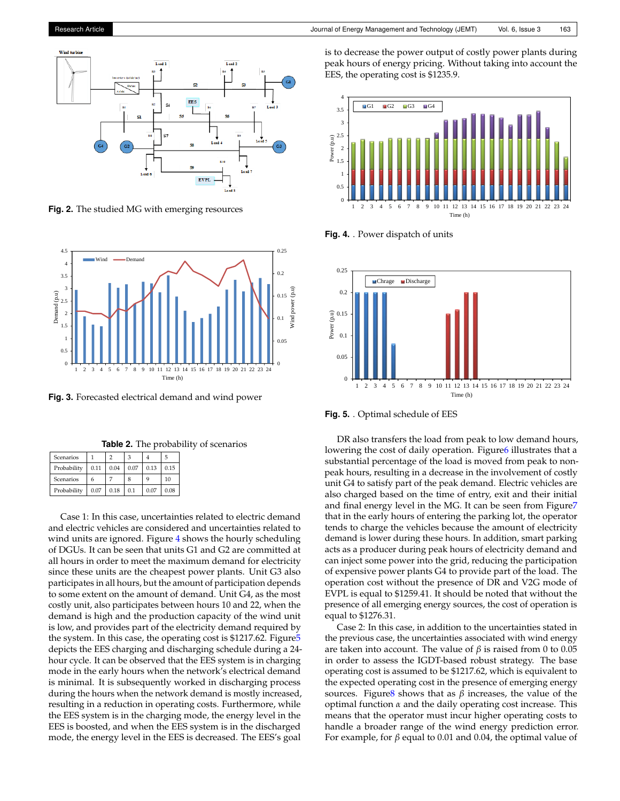<span id="page-5-0"></span>

**Fig. 2.** The studied MG with emerging resources

<span id="page-5-1"></span>

**Fig. 3.** Forecasted electrical demand and wind power

**Table 2.** The probability of scenarios

<span id="page-5-2"></span>

| Scenarios   |      |      |      |      | 5    |
|-------------|------|------|------|------|------|
| Probability | 0.11 | 0.04 | 0.07 | 0.13 | 0.15 |
| Scenarios   | 6    |      | 8    | 9    | 10   |
| Probability | 0.07 | 0.18 | 0.1  | 0.07 | 0.08 |

Case 1: In this case, uncertainties related to electric demand and electric vehicles are considered and uncertainties related to wind units are ignored. Figure [4](#page-5-3) shows the hourly scheduling of DGUs. It can be seen that units G1 and G2 are committed at all hours in order to meet the maximum demand for electricity since these units are the cheapest power plants. Unit G3 also participates in all hours, but the amount of participation depends to some extent on the amount of demand. Unit G4, as the most costly unit, also participates between hours 10 and 22, when the demand is high and the production capacity of the wind unit is low, and provides part of the electricity demand required by the system. In this case, the operating cost is \$1217.62. Figur[e5](#page-5-4) depicts the EES charging and discharging schedule during a 24 hour cycle. It can be observed that the EES system is in charging mode in the early hours when the network's electrical demand is minimal. It is subsequently worked in discharging process during the hours when the network demand is mostly increased, resulting in a reduction in operating costs. Furthermore, while the EES system is in the charging mode, the energy level in the EES is boosted, and when the EES system is in the discharged mode, the energy level in the EES is decreased. The EES's goal

is to decrease the power output of costly power plants during peak hours of energy pricing. Without taking into account the EES, the operating cost is \$1235.9.

<span id="page-5-3"></span>

**Fig. 4.** . Power dispatch of units

<span id="page-5-4"></span>

**Fig. 5.** . Optimal schedule of EES

DR also transfers the load from peak to low demand hours, lowering the cost of daily operation. Figure<sup>6</sup> illustrates that a substantial percentage of the load is moved from peak to nonpeak hours, resulting in a decrease in the involvement of costly unit G4 to satisfy part of the peak demand. Electric vehicles are also charged based on the time of entry, exit and their initial and final energy level in the MG. It can be seen from Figur[e7](#page-6-7) that in the early hours of entering the parking lot, the operator tends to charge the vehicles because the amount of electricity demand is lower during these hours. In addition, smart parking acts as a producer during peak hours of electricity demand and can inject some power into the grid, reducing the participation of expensive power plants G4 to provide part of the load. The operation cost without the presence of DR and V2G mode of EVPL is equal to \$1259.41. It should be noted that without the presence of all emerging energy sources, the cost of operation is equal to \$1276.31.

Case 2: In this case, in addition to the uncertainties stated in the previous case, the uncertainties associated with wind energy are taken into account. The value of  $β$  is raised from 0 to 0.05 in order to assess the IGDT-based robust strategy. The base operating cost is assumed to be \$1217.62, which is equivalent to the expected operating cost in the presence of emerging energy sources. Figur[e8](#page-6-8) shows that as  $β$  increases, the value of the optimal function *α* and the daily operating cost increase. This means that the operator must incur higher operating costs to handle a broader range of the wind energy prediction error. For example, for *β* equal to 0.01 and 0.04, the optimal value of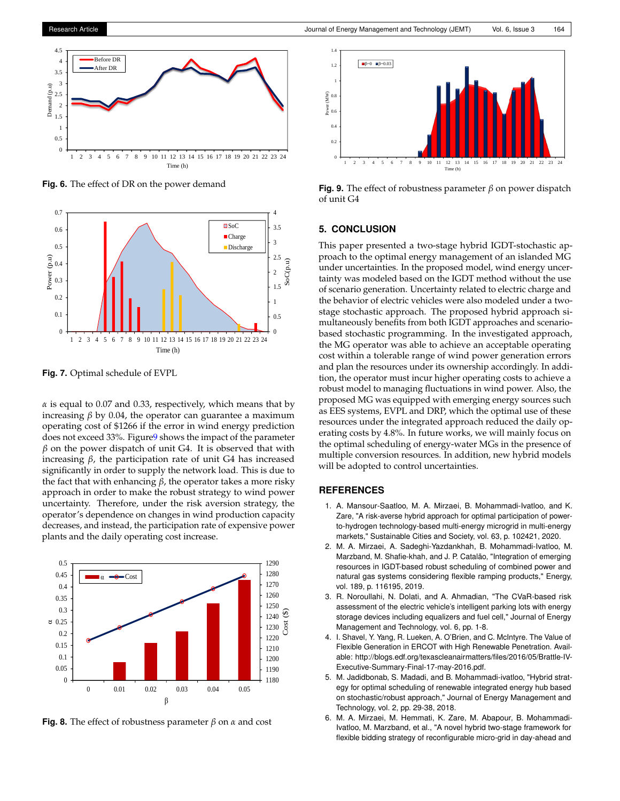<span id="page-6-6"></span>

**Fig. 6.** The effect of DR on the power demand

<span id="page-6-7"></span>

**Fig. 7.** Optimal schedule of EVPL

*α* is equal to 0.07 and 0.33, respectively, which means that by increasing  $β$  by 0.04, the operator can guarantee a maximum operating cost of \$1266 if the error in wind energy prediction does not exceed 33%. Figur[e9](#page-6-9) shows the impact of the parameter *β* on the power dispatch of unit G4. It is observed that with increasing *β*, the participation rate of unit G4 has increased significantly in order to supply the network load. This is due to the fact that with enhancing *β*, the operator takes a more risky approach in order to make the robust strategy to wind power uncertainty. Therefore, under the risk aversion strategy, the operator's dependence on changes in wind production capacity decreases, and instead, the participation rate of expensive power plants and the daily operating cost increase.

<span id="page-6-8"></span>

**Fig. 8.** The effect of robustness parameter *β* on *α* and cost

<span id="page-6-9"></span>

**Fig. 9.** The effect of robustness parameter *β* on power dispatch of unit G4

#### **5. CONCLUSION**

This paper presented a two-stage hybrid IGDT-stochastic approach to the optimal energy management of an islanded MG under uncertainties. In the proposed model, wind energy uncertainty was modeled based on the IGDT method without the use of scenario generation. Uncertainty related to electric charge and the behavior of electric vehicles were also modeled under a twostage stochastic approach. The proposed hybrid approach simultaneously benefits from both IGDT approaches and scenariobased stochastic programming. In the investigated approach, the MG operator was able to achieve an acceptable operating cost within a tolerable range of wind power generation errors and plan the resources under its ownership accordingly. In addition, the operator must incur higher operating costs to achieve a robust model to managing fluctuations in wind power. Also, the proposed MG was equipped with emerging energy sources such as EES systems, EVPL and DRP, which the optimal use of these resources under the integrated approach reduced the daily operating costs by 4.8%. In future works, we will mainly focus on the optimal scheduling of energy-water MGs in the presence of multiple conversion resources. In addition, new hybrid models will be adopted to control uncertainties.

## **REFERENCES**

- <span id="page-6-0"></span>1. A. Mansour-Saatloo, M. A. Mirzaei, B. Mohammadi-Ivatloo, and K. Zare, "A risk-averse hybrid approach for optimal participation of powerto-hydrogen technology-based multi-energy microgrid in multi-energy markets," Sustainable Cities and Society, vol. 63, p. 102421, 2020.
- <span id="page-6-1"></span>2. M. A. Mirzaei, A. Sadeghi-Yazdankhah, B. Mohammadi-Ivatloo, M. Marzband, M. Shafie-khah, and J. P. Catalão, "Integration of emerging resources in IGDT-based robust scheduling of combined power and natural gas systems considering flexible ramping products," Energy, vol. 189, p. 116195, 2019.
- <span id="page-6-2"></span>3. R. Noroullahi, N. Dolati, and A. Ahmadian, "The CVaR-based risk assessment of the electric vehicle's intelligent parking lots with energy storage devices including equalizers and fuel cell," Journal of Energy Management and Technology, vol. 6, pp. 1-8.
- <span id="page-6-3"></span>4. I. Shavel, Y. Yang, R. Lueken, A. O'Brien, and C. McIntyre. The Value of Flexible Generation in ERCOT with High Renewable Penetration. Available: http://blogs.edf.org/texascleanairmatters/files/2016/05/Brattle-IV-Executive-Summary-Final-17-may-2016.pdf.
- <span id="page-6-4"></span>5. M. Jadidbonab, S. Madadi, and B. Mohammadi-ivatloo, "Hybrid strategy for optimal scheduling of renewable integrated energy hub based on stochastic/robust approach," Journal of Energy Management and Technology, vol. 2, pp. 29-38, 2018.
- <span id="page-6-5"></span>6. M. A. Mirzaei, M. Hemmati, K. Zare, M. Abapour, B. Mohammadi-Ivatloo, M. Marzband, et al., "A novel hybrid two-stage framework for flexible bidding strategy of reconfigurable micro-grid in day-ahead and